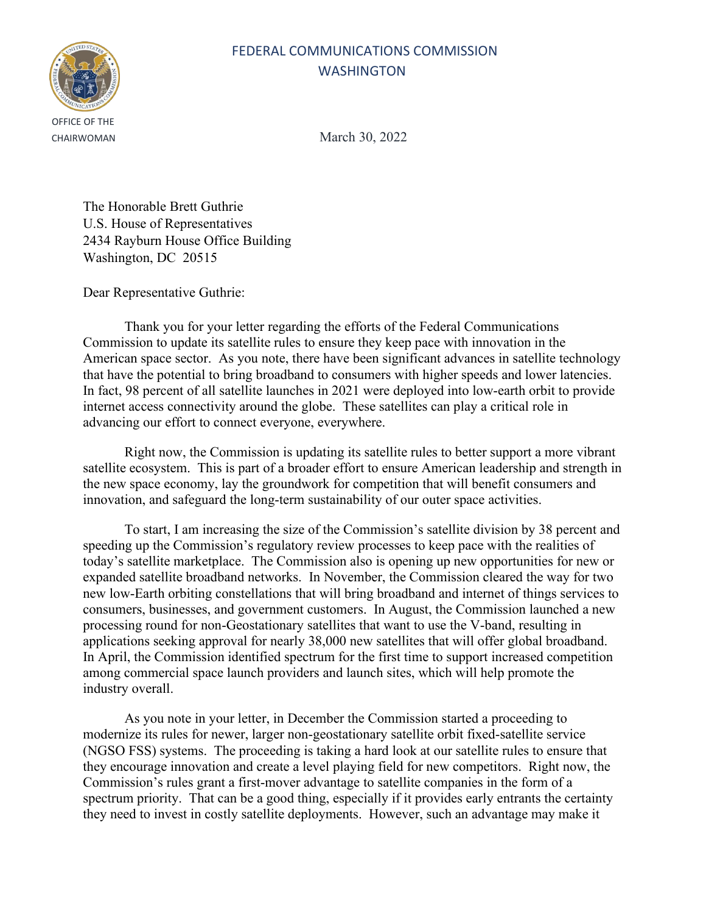## FEDERAL COMMUNICATIONS COMMISSION WASHINGTON



CHAIRWOMAN March 30, 2022

The Honorable Brett Guthrie U.S. House of Representatives 2434 Rayburn House Office Building Washington, DC 20515

Dear Representative Guthrie:

Thank you for your letter regarding the efforts of the Federal Communications Commission to update its satellite rules to ensure they keep pace with innovation in the American space sector. As you note, there have been significant advances in satellite technology that have the potential to bring broadband to consumers with higher speeds and lower latencies. In fact, 98 percent of all satellite launches in 2021 were deployed into low-earth orbit to provide internet access connectivity around the globe. These satellites can play a critical role in advancing our effort to connect everyone, everywhere.

Right now, the Commission is updating its satellite rules to better support a more vibrant satellite ecosystem. This is part of a broader effort to ensure American leadership and strength in the new space economy, lay the groundwork for competition that will benefit consumers and innovation, and safeguard the long-term sustainability of our outer space activities.

To start, I am increasing the size of the Commission's satellite division by 38 percent and speeding up the Commission's regulatory review processes to keep pace with the realities of today's satellite marketplace. The Commission also is opening up new opportunities for new or expanded satellite broadband networks. In November, the Commission cleared the way for two new low-Earth orbiting constellations that will bring broadband and internet of things services to consumers, businesses, and government customers. In August, the Commission launched a new processing round for non-Geostationary satellites that want to use the V-band, resulting in applications seeking approval for nearly 38,000 new satellites that will offer global broadband. In April, the Commission identified spectrum for the first time to support increased competition among commercial space launch providers and launch sites, which will help promote the industry overall.

As you note in your letter, in December the Commission started a proceeding to modernize its rules for newer, larger non-geostationary satellite orbit fixed-satellite service (NGSO FSS) systems. The proceeding is taking a hard look at our satellite rules to ensure that they encourage innovation and create a level playing field for new competitors. Right now, the Commission's rules grant a first-mover advantage to satellite companies in the form of a spectrum priority. That can be a good thing, especially if it provides early entrants the certainty they need to invest in costly satellite deployments. However, such an advantage may make it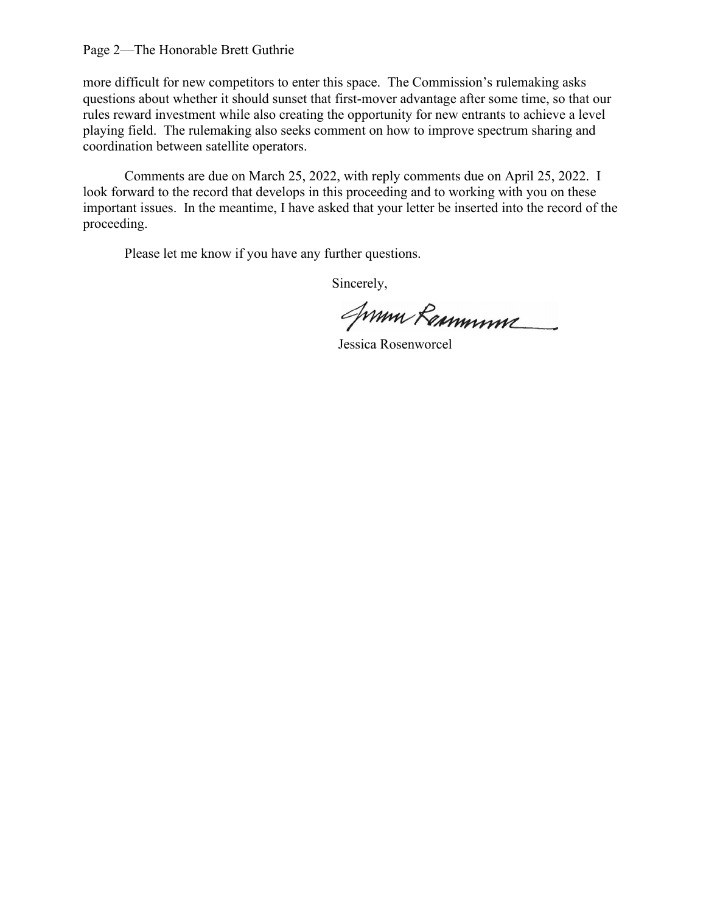## Page 2—The Honorable Brett Guthrie

more difficult for new competitors to enter this space. The Commission's rulemaking asks questions about whether it should sunset that first-mover advantage after some time, so that our rules reward investment while also creating the opportunity for new entrants to achieve a level playing field. The rulemaking also seeks comment on how to improve spectrum sharing and coordination between satellite operators.

Comments are due on March 25, 2022, with reply comments due on April 25, 2022. I look forward to the record that develops in this proceeding and to working with you on these important issues. In the meantime, I have asked that your letter be inserted into the record of the proceeding.

Please let me know if you have any further questions.

Sincerely,

Syrmu Remmume

Jessica Rosenworcel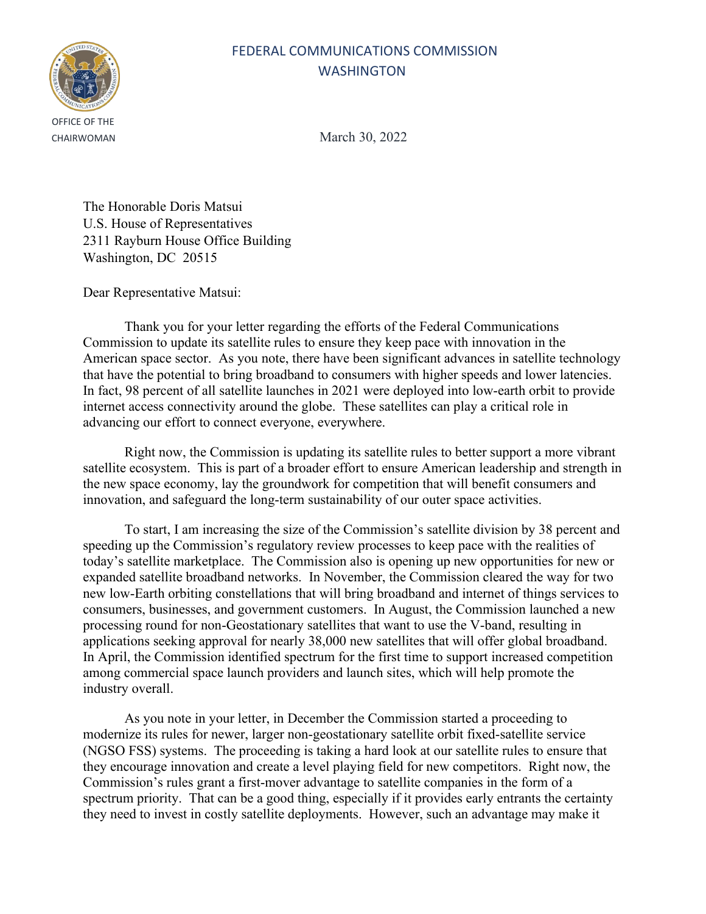## FEDERAL COMMUNICATIONS COMMISSION WASHINGTON



CHAIRWOMAN March 30, 2022

The Honorable Doris Matsui U.S. House of Representatives 2311 Rayburn House Office Building Washington, DC 20515

Dear Representative Matsui:

Thank you for your letter regarding the efforts of the Federal Communications Commission to update its satellite rules to ensure they keep pace with innovation in the American space sector. As you note, there have been significant advances in satellite technology that have the potential to bring broadband to consumers with higher speeds and lower latencies. In fact, 98 percent of all satellite launches in 2021 were deployed into low-earth orbit to provide internet access connectivity around the globe. These satellites can play a critical role in advancing our effort to connect everyone, everywhere.

Right now, the Commission is updating its satellite rules to better support a more vibrant satellite ecosystem. This is part of a broader effort to ensure American leadership and strength in the new space economy, lay the groundwork for competition that will benefit consumers and innovation, and safeguard the long-term sustainability of our outer space activities.

To start, I am increasing the size of the Commission's satellite division by 38 percent and speeding up the Commission's regulatory review processes to keep pace with the realities of today's satellite marketplace. The Commission also is opening up new opportunities for new or expanded satellite broadband networks. In November, the Commission cleared the way for two new low-Earth orbiting constellations that will bring broadband and internet of things services to consumers, businesses, and government customers. In August, the Commission launched a new processing round for non-Geostationary satellites that want to use the V-band, resulting in applications seeking approval for nearly 38,000 new satellites that will offer global broadband. In April, the Commission identified spectrum for the first time to support increased competition among commercial space launch providers and launch sites, which will help promote the industry overall.

As you note in your letter, in December the Commission started a proceeding to modernize its rules for newer, larger non-geostationary satellite orbit fixed-satellite service (NGSO FSS) systems. The proceeding is taking a hard look at our satellite rules to ensure that they encourage innovation and create a level playing field for new competitors. Right now, the Commission's rules grant a first-mover advantage to satellite companies in the form of a spectrum priority. That can be a good thing, especially if it provides early entrants the certainty they need to invest in costly satellite deployments. However, such an advantage may make it